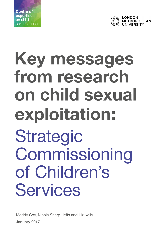



# **Key messages from research on child sexual exploitation:** Strategic Commissioning of Children's Services

Maddy Coy, Nicola Sharp-Jeffs and Liz Kelly January 2017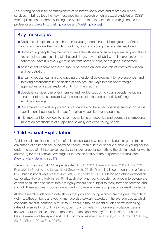This briefing paper is for commissioners of children's social care and related children's services. It brings together key messages from research on child sexual exploitation (CSE) with implications for commissioning and should be read in conjunction with guidance for professionals [\[Links to English guidance](https://www.gov.uk/government/publications/child-sexual-exploitation-definition-and-guide-for-practitioners) [and Welsh guidance\]](http://gov.wales/topics/health/socialcare/safeguarding/?lang=en).

#### Key messages

- Child sexual exploitation can happen to young people from all backgrounds. Whilst young women are the majority of victims, boys and young men are also exploited.
- Some young people may be more vulnerable those who have experienced prior abuse, are homeless, are misusing alcohol and drugs, have a disability, are in care, are out of education, have run away/ go missing from home or care, or are gang-associated.
- Assessment of scale and need should be based on local analysis of both victimisation and perpetration.
- Ensuring regular learning and ongoing professional development for professionals, and involving practitioners in the design of services, are ways to cascade strategic approaches on sexual exploitation to frontline practice.
- Specialist services can offer intensive and flexible support to young people, reducing a number of risks associated with sexual exploitation and potentially offering significant savings.
- Placements with well-supported foster carers who have had specialist training on sexual exploitation show positive impact for sexually exploited young people.
- It is important for services to have mechanisms to recognise and address the emotional impact on practitioners of supporting sexually exploited young people.

# Child Sexual Exploitation

'Child sexual exploitation is a form of child sexual abuse where an individual or group takes advantage of an imbalance of power to coerce, manipulate or deceive a child or young person under the age of 18 into sexual activity (a) in exchange for something the victim needs or wants, and/or (b) for the financial advantage or increased status of the perpetrator or facilitator.' [\(New England definition 2017\)](https://www.gov.uk/government/publications/child-sexual-exploitation-definition-and-guide-for-practitioners)

There is no one way that CSE is perpetrated (CEOP, 2011; Berelowitz et al. 2012; Gohir, 2013; Research in Practice and University of Greenwich, 2015). Grooming is common in some forms of CSE, but it is not always present (Beckett, 2011; Melrose, 2013). Online and offline exploitation can overlap (Fox and Kalkan, 2016). That children and young people may appear to co-operate cannot be taken as consent: they are legally minors and subject to many forms of coercion and control. These abuses of power are similar to those which are recognised in domestic violence.

All the research evidence to date shows that girls and young women are the great majority of victims, although boys and young men are also sexually exploited. The average age at which concerns are first identified is at 12 to 15 years, although recent studies show increasing rates of referrals for 8 to 11 year olds, particularly in relation to online exploitation. Less is known about the exploitation of those from Black and Minority Ethnic (BME) and Lesbian, Gay, Bisexual and Transgender (LGBT) communities (Ward and Patel, 2006; Gohir, 2013; Coy, 2016a; Sharp, 2013; Fox, 2016).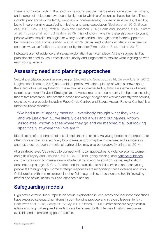There is no 'typical' victim. That said, some young people may be more vulnerable than others, and a range of indicators have been highlighted to which professionals should be alert. These include: prior abuse in the family; deprivation; homelessness; misuse of substances; disability; being in care; running away/going missing; and gang-association (Beckett et al. 2013; Brown et al. 2016; Coy, 2009; Franklin, Raws and Smeaton, 2015; Harris and Robinson, 2007; Klatt et al. 2014; Jago et al. 2011; Smeaton, 2013). It is not known whether these also apply to young people where exploitation begins or wholly occurs online, although some factors appear to be involved in both contexts (Whittle et al. 2013). Sexual exploitation can also involve peers in complex ways, as facilitators, abusers or bystanders (Firmin, 2011; Beckett et al. 2013).

Indicators are not evidence that sexual exploitation has taken place. All they suggest is that practitioners need to use professional curiosity and judgement to explore what is going on with each young person.

# Assessing need and planning approaches

Sexual exploitation occurs in every region (Beckett and Schubotz, 2014; Berelowitz et al. 2012; Hughes and Thomas, 2016) and problem profiles will offer a picture of what is known about the extent of sexual exploitation. These can be supplemented by local assessments of scale, evidence gathered for Joint Strategic Needs Assessments and community intelligence including that of families/carers. The practice-based knowledge of agencies working directly with sexually exploited young people (including Rape Crisis Centres and Sexual Assault Referral Centres) is a further valuable resource.

"We had a multi-agency meeting – everybody brought what they knew and we just drew it... we literally cleared a wall and put names, known associates, known places where they go and we mapped it all out looking specifically at where the links are."<sup>1</sup>

Identification of perpetrators of sexual exploitation is critical. As young people and perpetrators often move across local authority boundaries, and/or may live in one area and associate in another, cross-borough or regional partnerships may also be valuable (Martin et al. 2014).

At a strategic level, CSE needs to connect with local approaches to violence against women and girls (Brayley and Cockbain, 2014; Coy, 2016b), going missing, and [national guidance](https://www.gov.uk/government/collections/modern-slavery) on how to respond to international and internal trafficking. In addition, sexual exploitation does not stop at age 18 (Coy, 2016b), and the transition to adult services can mean young people fall through gaps. Some strategic responses are recognising these overlaps and links. Collaboration with commissioners in other fields e.g. police, education and health (including mental and sexual health) will also enhance planning.

# Safeguarding models

High profile criminal trials, reports on sexual exploitation in local areas and inquiries/inspections have exposed safeguarding failures in both frontline practice and strategic leadership (e.g. Berelowitz et al. 2013, Casey, 2015; Jay, 2014; Ofsted, 2014). Commissioners play a crucial role in ensuring that required standards are being met, both in terms of making resources available and championing good practice.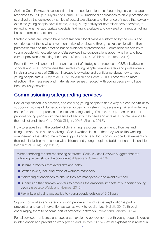Serious Case Reviews have identified that the configuration of safeguarding services shapes responses to CSE (e.g. Myers and Carmi, 2016). Traditional approaches to child protection are stretched by the complex dynamics of sexual exploitation and the range of needs that sexually exploited young people have (Pearce, 2014). A key activity for commissioners, therefore, is reviewing whether appropriate specialist training is available and delivered on a regular, rolling basis to frontline practitioners.

Strategic plans are likely to have more traction if local plans are informed by the views and experiences of those who have been at risk of or abused through sexual exploitation, their parents/carers and the practice-based evidence of practitioners. Commissioners can invite young people with experience of CSE services into conversations about whether and how current provision is meeting their needs (Ofsted, 2014; Webb and Holmes, 2015).

Prevention work is another important element of strategic approaches to CSE. Initiatives in schools and local communities that involve young people, families/carers and professionals in raising awareness of CSE can increase knowledge and confidence about how to keep young people safe (D'Arcy et al. 2015; Bovarnick and Scott, 2016). These will be more effective if the messages and materials are 'sense checked' with young people who have been sexually exploited.

#### Commissioning safeguarding services

Sexual exploitation is a process, and enabling young people to find a way out can be similar to supporting victims of domestic violence: focussing on strengths, assessing risk and widening space for action – a process of 'sustained safeguarding' (Pearce, 2009). Intensive support provides young people with the sense of security they need and acts as a counterbalance to the 'pull' of exploiters (Coy, 2009; Gilligan, 2016; Shuker, 2013).

How to enable this in the context of diminishing resources, recruitment difficulties and rising demand is an acute challenge. Social workers indicate that they would like working arrangements that afford them more support and time to focus on nonprocedural elements of their role, including more space with children and young people to build trust and relationships (Martin et al. 2014; Coy, 2016b).

When tendering for and monitoring contracts, Serious Case Reviews suggest that the following issues should be considered (Myers and Carmi, 2016).

- Referral protocols that avoid drift and delay.
- Staffing levels, including ratios of workers/managers.
- Monitoring of caseloads to ensure they are manageable and avoid overload.
- Supervision that enables workers to process the emotional impacts of supporting young people (see also Webb and Holmes, 2015).
- Flexibility and being accessible to young people outside of 9-5 hours.

Support for families and carers of young people at risk of sexual exploitation is part of prevention and early intervention as well as work to rebuild lives (Hallett, 2015), through encouraging them to become part of protective networks (Palmer and Jenkins, 2014).

For all services – universal and specialist – exploring gender norms with young people is crucial in intervention and prevention work (Webb and Holmes, 2015). Sexual exploitation is rooted in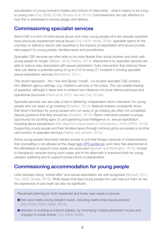sexualisation of young women's bodies and notions of masculinity - what it means to be a boy or young man (Coy, 2008; 2016a; Brayley et al. 2014). Commissioners can pay attention to how this is addressed in service design and delivery.

#### Commissioning specialist services

Since CSE is a form of child sexual abuse and many young people who are sexually exploited have previously experienced sexual abuse (Coy, 2009; Hickle, 2016), specialist teams (in the voluntary or statutory sector) with expertise in the impacts of exploitation and abuse provide vital support for young people, families/carers and practitioners.

Specialist CSE services are often able to be more flexible than social workers and work with young people for longer (Gilligan, 2016; Pearce, 2014). Interventions by specialist services are able to reduce risks associated with sexual exploitation. Early intervention that reduces these risks can deliver a potential saving of up to £12 for every £1 invested in funding specialist sexual exploitation services (Barnardo's, 2011).

One recent approach – the 'Hub and Spoke' model – co-locates specialist CSE workers into different agency settings, e.g. children's services or the police. This can enable sharing of expertise, although it takes time to embed new initiatives into local referral pathways and operational structures (Harris et al. 2015; see also Coy, 2016a).

Specialist services can also play a role in delivering 'independent return interviews' for young people who run away or go missing (Smeaton, 2013). National reviews consistently show that return interviews for young people who run away or go missing are often not completed, despite guidance that they should be (Smeaton, 2013). Return interviews present a unique opportunity for spotting signs of, and gathering local intelligence on, sexual exploitation, including about perpetrators (Her Majesty's Inspectorate of Constabulary, 2016; APPG, 2016). Supporting young people and their families/carers through criminal justice processes is another vital function of specialist services (Palmer and Jenkins, 2014).

Some young people have been denied access to pre-trial therapy because of misperceptions that counselling is not allowed at this stage [\(see CPS guidance](https://www.cps.gov.uk/publications/prosecution/therapychild.html)), and many feel abandoned at the withdrawal of support once cases are concluded (Beckett and Warrington, 2015). Access to therapeutic services during court cases and in the aftermath is important both for young people's wellbeing and to support prosecutions of perpetrators.

## Commissioning accommodation for young people

Links between being 'looked after' and sexual exploitation are well recognised (Beckett, 2011; Coy, 2009; Shuker, 2013). While issues that lead young people into care may put them at risk, the experience of care itself can also be significant.

Placement planning for both residential and foster care needs to ensure:

- that care meets young people's needs, including relationship-based practice (Coy, 2008; 2009; Hallett, 2015);
- attention to building emotional stability, by minimising multiple placement moves and changes of social worker (Coy, 2008; 2009);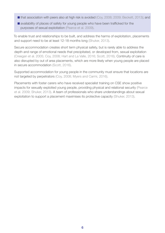- that association with peers also at high risk is avoided (Coy, 2008; 2009; Beckett, 2013); and
- availability of places of safety for young people who have been trafficked for the purposes of sexual exploitation (Pearce et al. 2009).

To enable trust and relationships to be built, and address the harms of exploitation, placements and support need to be at least 12-18 months long (Shuker, 2013).

Secure accommodation creates short term physical safety, but is rarely able to address the depth and range of emotional needs that precipitated, or developed from, sexual exploitation (Creegan et al. 2005; Coy, 2008; Hart and La Valle, 2016; Scott, 2016). Continuity of care is also disrupted by out of area placements, which are more likely when young people are placed in secure accommodation (Scott, 2016).

Supported accommodation for young people in the community must ensure that locations are not targeted by perpetrators (Coy, 2008; Myers and Carmi, 2016).

Placements with foster carers who have received specialist training on CSE show positive impacts for sexually exploited young people, providing physical and relational security (Pearce et al. 2009; Shuker, 2013). A team of professionals who share understandings about sexual exploitation to support a placement maximises its protective capacity (Shuker, 2013).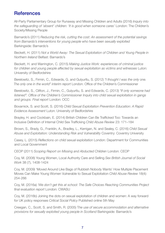## **References**

All-Party Parliamentary Group for Runaway and Missing Children and Adults (2016) *Inquiry into the safeguarding of 'absent' children: 'It is good when someone cares'* London: The Children's Society/Missing People

Barnardo's (2011) *Reducing the risk, cutting the cost: An assessment of the potential savings from Barnardo's interventions for young people who have been sexually exploited* Barkingside: Barnardo's

Beckett, H. (2011) *Not a World Away: The Sexual Exploitation of Children and Young People in Northern Ireland* Belfast: Barnardo's

Beckett, H. and Warrington, C. (2015) *Making Justice Work: experiences of criminal justice for children and young people affected by sexual exploitation as victims and witnesses* Luton: University of Bedfordshire

Berelowitz, S., Firmin, C., Edwards, G. and Gulyurtlu, S. (2012) *"I thought I was the only one. The only one in the world" interim report* London: Office of the Children's Commissioner

Berelowitz, S., Clifton, J., Firmin, C., Gulyurtlu, S. and Edwards, C. (2013) *"If only someone had listened": Office of the Children's Commissioner Inquiry into child sexual exploitation in gangs and groups. Final report* London: OCC

Bovarnick, S. and Scott, S. (2016) *Child Sexual Exploitation Prevention Education: A Rapid Evidence Assessment* Luton: University of Bedfordshire

Brayley, H. and Cockbain, E. (2014) British Children Can Be Trafficked Too: Towards an Inclusive Definition of Internal Child Sex Trafficking *Child Abuse Review* 23: 171–184

Brown, S., Brady, G., Franklin, A., Bradley, L., Kerrigan, N. and Sealey, C. (2016) *Child Sexual Abuse and Exploitation: Understanding Risk and Vulnerability* Coventry: Coventry University

Casey, L. (2015) *Reflections on child sexual exploitation* London: Department for Communities and Local Government

CEOP (2011) *Scoping Report on Missing and Abducted Children* London: CEOP

Coy, M. (2008) Young Women, Local Authority Care and Selling *Sex British Journal of Social Work* 38 (7), 1408-1424

Coy, M. (2009) 'Moved Around Like Bags of Rubbish Nobody Wants' How Multiple Placement Moves Can Make Young Women Vulnerable to Sexual Exploitation *Child Abuse Review* 18(4): 254-266

Coy, M. (2016a) *'We don't get this at school: The Safe Choices Reaching Communities Project final evaluation report* London: CWASU

Coy, M. (2016b) Joining the dots on sexual exploitation of children and women: A way forward for UK policy responses *Critical Social Policy* Published online 5th May

Creegan, C., Scott, S. and Smith, R. (2005) T*he use of secure accommodation and alternative provisions for sexually exploited young people in Scotland* Barkingside: Barnardo's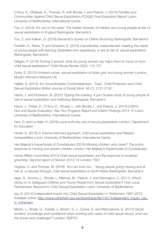D'Arcy, K., Dhaliwal, S., Thomas, R. with Brodie, I. and Pearce, J. (2015) *Families and Communities Against Child Sexual Exploitation (FCASE) Final Evaluation Report* Luton: University of Bedfordshire, International Centre

Fox, C. (2016) *'It's not on the radar' The hidden diversity of children and young people at risk of sexual exploitation in England* Barkingside: Barnardo's

Fox, C. and Kalkan, G. (2016) *Barnardo's Survey on Online Grooming* Barkingside: Barnardo's

Franklin, A., Raws, P. and Smeaton, E. (2015) *Unprotected, overprotected: meeting the needs of young people with learning disabilities who experience, or are at risk of, sexual exploitation*  Barkingside: Barnardo's

Gilligan, P. (2016) Turning it around: what do young women say helps them to move on from child sexual exploitation? *Child Abuse Review* 25(2): 115-127

Gohir, S. (2013) *Unheard voices: sexual exploitation of Asian girls and young women* London: Muslim Women's Network UK

Hallett, S. (2015) 'An Uncomfortable Comfortableness': 'Care', Child Protection and Child Sexual Exploitation *British Journal of Social Work*: 46 (7): 2137-2152

Harris, J. and Robinson, B. (2007) *Tipping the Iceberg: A pan Sussex study of young people at risk of sexual exploitation and trafficking* Barkingside: Barnardo's

Harris, J., Roker, D., D'Arcy, K., Shuker, L. with Brodie, I. and Pearce, J. (2015) *CSEFA Hub and Spoke Evaluation: Year Two Progress Report and Interim Findings 2014-15* Luton: University of Bedfordshire, International Centre

Hart, D. and La Valle, K. (2016) *Local authority use of secure placements* London: Department for Education

Hickle, K. (2016) *A Trauma informed approach, child sexual exploitation and Related Vulnerabilities* Luton: University of Bedfordshire, International Centre

Her Majesty's Inspectorate of Constabulary (2016) *Missing children: who cares? The police response to missing and absent children* London: Her Majesty's Inspectorate of Constabulary

Home Affairs Committee (2013) *Child sexual exploitation and the response to localised grooming: Second report of Session 2013-14* London: TSO

Hughes, C. and Thomas, M. (2016) *'You can trust me...' Young people going missing and at risk of, or abused through, child sexual exploitation in North Wales* Barkingside: Barnardo's

Jago, S., Arocha, L., Brodie, I., Melrose, M., Pearce, J. and Warrington, C. (2011), *What's Going on to Safeguard Children and Young People from Sexual Exploitation? How Local Partnerships Respond to Child Sexual Exploitation* Luton: University of Bedfordshire

Jay, A. (2014) *Independent Inquiry into Child Sexual Exploitation in Rotherham* 1997–2013. Available online: [http://www.rotherham.gov.uk/downloads/file/1407/independent\\_inquiry\\_cse\\_](http://www.rotherham.gov.uk/downloads/file/1407/independent_inquiry_cse_in_rotherham) in rotherham

Martin, L., Brady, G., Kwhali, J., Brown, S. J., Crowe, S. and Matouskova, G. (2014) *Social workers' knowledge and confidence when working with cases of child sexual abuse: what are the issues and challenges?* London: NSPCC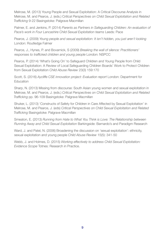Melrose, M. (2013) Young People and Sexual Exploitation: A Critical Discourse Analysis in Melrose, M. and Pearce, J. (eds.) C*ritical Perspectives on Child Sexual Exploitation and Related Trafficking* 9-22 Basingstoke: Palgrave Macmillan

Palmer, E. and Jenkins, P. (2014) *Parents as Partners in Safeguarding Children: An evaluation of Pace's work in Four Lancashire Child Sexual Exploitation teams* Leeds: Pace

Pearce, J. (2009) *Young people and sexual exploitation: It isn't hidden, you just aren't looking*  London: Routledge Falmer

Pearce, J., Hynes, P. and Bovarnick, S (2009) *Breaking the wall of silence: Practitioners' responses to trafficked children and young people* London: NSPCC

Pearce, P. (2014) 'What's Going On' to Safeguard Children and Young People from Child Sexual Exploitation: A Review of Local Safeguarding Children Boards' Work to Protect Children from Sexual Exploitation *Child Abuse Review* 23(3) 159:170

Scott, S. (2016) *Aycliffe CSE innovation project: Evaluation report* London: Department for **Education** 

Sharp, N. (2013) Missing from discourse: South Asian young women and sexual exploitation in Melrose, M. and Pearce, J. (eds.) *Critical Perspectives on Child Sexual Exploitation and Related Trafficking* pp. 96-109 Basingstoke: Palgrave Macmillan

Shuker, L. (2013) 'Constructs of Safety for Children in Care Affected by Sexual Exploitation' in Melrose, M. and Pearce, J. (eds) *Critical Perspectives on Child Sexual Exploitation and Related Trafficking* Basingstoke: Palgrave Macmillan

Smeaton, E. (2013) *Running from Hate to What You Think is Love: The Relationship between Running Away and Child Sexual Exploitation* Barkingside: Barnardo's and Paradigm Research

Ward, J. and Patel, N. (2006) Broadening the discussion on 'sexual exploitation': ethnicity, sexual exploitation and young people *Child Abuse Review* 15(5): 341-50

Webb, J. and Holmes, D. (2015) *Working effectively to address Child Sexual Exploitation: Evidence Scope* Totnes: Research in Practice.